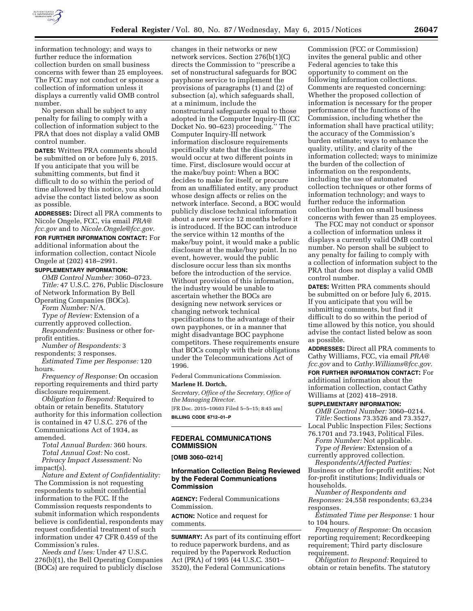

information technology; and ways to further reduce the information collection burden on small business concerns with fewer than 25 employees. The FCC may not conduct or sponsor a collection of information unless it displays a currently valid OMB control number.

No person shall be subject to any penalty for failing to comply with a collection of information subject to the PRA that does not display a valid OMB control number.

**DATES:** Written PRA comments should be submitted on or before July 6, 2015. If you anticipate that you will be submitting comments, but find it difficult to do so within the period of time allowed by this notice, you should advise the contact listed below as soon as possible.

**ADDRESSES:** Direct all PRA comments to Nicole Ongele, FCC, via email *[PRA@](mailto:PRA@fcc.gov) [fcc.gov](mailto:PRA@fcc.gov)* and to *[Nicole.Ongele@fcc.gov](mailto:Nicole.Ongele@fcc.gov)*.

**FOR FURTHER INFORMATION CONTACT:** For additional information about the information collection, contact Nicole Ongele at (202) 418–2991.

#### **SUPPLEMENTARY INFORMATION:**

*OMB Control Number:* 3060–0723. *Title:* 47 U.S.C. 276, Public Disclosure of Network Information By Bell

Operating Companies (BOCs).

*Form Number:* N/A.

*Type of Review:* Extension of a currently approved collection.

*Respondents:* Business or other forprofit entities.

*Number of Respondents:* 3

respondents; 3 responses. *Estimated Time per Response:* 120

hours.

*Frequency of Response:* On occasion reporting requirements and third party disclosure requirement.

*Obligation to Respond:* Required to obtain or retain benefits. Statutory authority for this information collection is contained in 47 U.S.C. 276 of the Communications Act of 1934, as amended.

*Total Annual Burden:* 360 hours. *Total Annual Cost:* No cost.

*Privacy Impact Assessment:* No impact(s).

*Nature and Extent of Confidentiality:*  The Commission is not requesting respondents to submit confidential information to the FCC. If the Commission requests respondents to submit information which respondents believe is confidential, respondents may request confidential treatment of such information under 47 CFR 0.459 of the Commission's rules.

*Needs and Uses:* Under 47 U.S.C. 276(b)(1), the Bell Operating Companies (BOCs) are required to publicly disclose

changes in their networks or new network services. Section 276(b(1)(C) directs the Commission to ''prescribe a set of nonstructural safeguards for BOC payphone service to implement the provisions of paragraphs (1) and (2) of subsection (a), which safeguards shall, at a minimum, include the nonstructural safeguards equal to those adopted in the Computer Inquiry-III (CC Docket No. 90–623) proceeding.'' The Computer Inquiry-III network information disclosure requirements specifically state that the disclosure would occur at two different points in time. First, disclosure would occur at the make/buy point: When a BOC decides to make for itself, or procure from an unaffiliated entity, any product whose design affects or relies on the network interface. Second, a BOC would publicly disclose technical information about a new service 12 months before it is introduced. If the BOC can introduce the service within 12 months of the make/buy point, it would make a public disclosure at the make/buy point. In no event, however, would the public disclosure occur less than six months before the introduction of the service. Without provision of this information, the industry would be unable to ascertain whether the BOCs are designing new network services or changing network technical specifications to the advantage of their own payphones, or in a manner that might disadvantage BOC payphone competitors. These requirements ensure that BOCs comply with their obligations under the Telecommunications Act of 1996.

Federal Communications Commission. **Marlene H. Dortch,** 

*Secretary, Office of the Secretary, Office of the Managing Director.* 

[FR Doc. 2015–10603 Filed 5–5–15; 8:45 am] **BILLING CODE 6712–01–P** 

# **FEDERAL COMMUNICATIONS COMMISSION**

**[OMB 3060–0214]** 

## **Information Collection Being Reviewed by the Federal Communications Commission**

**AGENCY:** Federal Communications Commission.

**ACTION:** Notice and request for comments.

**SUMMARY:** As part of its continuing effort to reduce paperwork burdens, and as required by the Paperwork Reduction Act (PRA) of 1995 (44 U.S.C. 3501– 3520), the Federal Communications

Commission (FCC or Commission) invites the general public and other Federal agencies to take this opportunity to comment on the following information collections. Comments are requested concerning: Whether the proposed collection of information is necessary for the proper performance of the functions of the Commission, including whether the information shall have practical utility; the accuracy of the Commission's burden estimate; ways to enhance the quality, utility, and clarity of the information collected; ways to minimize the burden of the collection of information on the respondents, including the use of automated collection techniques or other forms of information technology; and ways to further reduce the information collection burden on small business concerns with fewer than 25 employees.

The FCC may not conduct or sponsor a collection of information unless it displays a currently valid OMB control number. No person shall be subject to any penalty for failing to comply with a collection of information subject to the PRA that does not display a valid OMB control number.

**DATES:** Written PRA comments should be submitted on or before July 6, 2015. If you anticipate that you will be submitting comments, but find it difficult to do so within the period of time allowed by this notice, you should advise the contact listed below as soon as possible.

**ADDRESSES:** Direct all PRA comments to Cathy Williams, FCC, via email *[PRA@](mailto:PRA@fcc.gov) [fcc.gov](mailto:PRA@fcc.gov)* and to *[Cathy.Williams@fcc.gov.](mailto:Cathy.Williams@fcc.gov)*  **FOR FURTHER INFORMATION CONTACT:** For additional information about the information collection, contact Cathy Williams at (202) 418–2918.

# **SUPPLEMENTARY INFORMATION:**

*OMB Control Number:* 3060–0214. *Title:* Sections 73.3526 and 73.3527, Local Public Inspection Files; Sections 76.1701 and 73.1943, Political Files.

*Form Number:* Not applicable. *Type of Review:* Extension of a

currently approved collection. *Respondents/Affected Parties:* 

Business or other for-profit entities; Not for-profit institutions; Individuals or households.

*Number of Respondents and Responses:* 24,558 respondents; 63,234 responses.

*Estimated Time per Response:* 1 hour to 104 hours.

*Frequency of Response:* On occasion reporting requirement; Recordkeeping requirement; Third party disclosure requirement.

*Obligation to Respond:* Required to obtain or retain benefits. The statutory